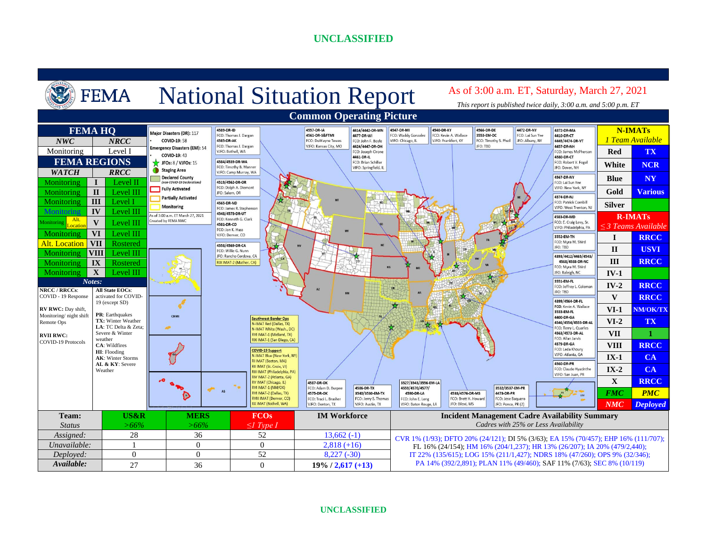

#### **UNCLASSIFIED**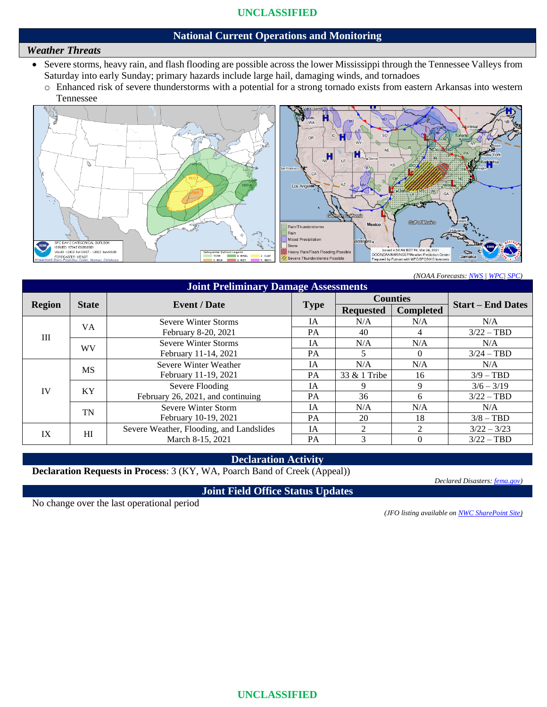#### **National Current Operations and Monitoring**

### *Weather Threats*

- Severe storms, heavy rain, and flash flooding are possible across the lower Mississippi through the Tennessee Valleys from Saturday into early Sunday; primary hazards include large hail, damaging winds, and tornadoes
	- o Enhanced risk of severe thunderstorms with a potential for a strong tornado exists from eastern Arkansas into western Tennessee



*(NOAA Forecasts[: NWS](https://www.weather.gov/) [| WPC|](https://www.wpc.ncep.noaa.gov/) [SPC\)](https://www.spc.noaa.gov/)*

| <b>Joint Preliminary Damage Assessments</b> |              |                                          |             |                  |                             |                          |  |  |  |  |
|---------------------------------------------|--------------|------------------------------------------|-------------|------------------|-----------------------------|--------------------------|--|--|--|--|
| <b>Region</b>                               | <b>State</b> | <b>Event</b> / Date                      | <b>Type</b> | <b>Counties</b>  |                             | <b>Start – End Dates</b> |  |  |  |  |
|                                             |              |                                          |             | <b>Requested</b> | <b>Completed</b>            |                          |  |  |  |  |
| III                                         | VA.          | Severe Winter Storms                     | <b>IA</b>   | N/A              | N/A                         | N/A                      |  |  |  |  |
|                                             |              | February 8-20, 2021                      | PA          | 40               | 4                           | $3/22 - TBD$             |  |  |  |  |
|                                             | <b>WV</b>    | Severe Winter Storms                     | IA          | N/A              | N/A                         | N/A                      |  |  |  |  |
|                                             |              | February 11-14, 2021                     | PA          | 5.               | $\Omega$                    | $3/24 - TBD$             |  |  |  |  |
| IV                                          | <b>MS</b>    | Severe Winter Weather                    | <b>IA</b>   | N/A              | N/A                         | N/A                      |  |  |  |  |
|                                             |              | February 11-19, 2021                     | PA          | 33 & 1 Tribe     | 16                          | $3/9 - TBD$              |  |  |  |  |
|                                             | KY           | Severe Flooding                          | <b>IA</b>   |                  | 9                           | $3/6 - 3/19$             |  |  |  |  |
|                                             |              | February 26, 2021, and continuing        | PA          | 36               | 6                           | $3/22 - TBD$             |  |  |  |  |
|                                             | <b>TN</b>    | Severe Winter Storm                      | <b>IA</b>   | N/A              | N/A                         | N/A                      |  |  |  |  |
|                                             |              | February 10-19, 2021                     | PA          | 20               | 18                          | $3/8 - TBD$              |  |  |  |  |
| IX                                          | HI           | Severe Weather, Flooding, and Landslides | <b>IA</b>   | $2^{\circ}$      | $\mathcal{D}_{\mathcal{L}}$ | $3/22 - 3/23$            |  |  |  |  |
|                                             |              | March 8-15, 2021                         | PA          | 3                | 0                           | $3/22 - TBD$             |  |  |  |  |

#### **Declaration Activity**

**Declaration Requests in Process**: 3 (KY, WA, Poarch Band of Creek (Appeal))

*Declared Disasters: [fema.gov\)](https://www.fema.gov/disasters)*

**Joint Field Office Status Updates**

No change over the last operational period

*(JFO listing available o[n NWC SharePoint Site\)](https://usfema.sharepoint.com/sites/ORR/response/NWC/Forms/AllItems.aspx)*

**UNCLASSIFIED**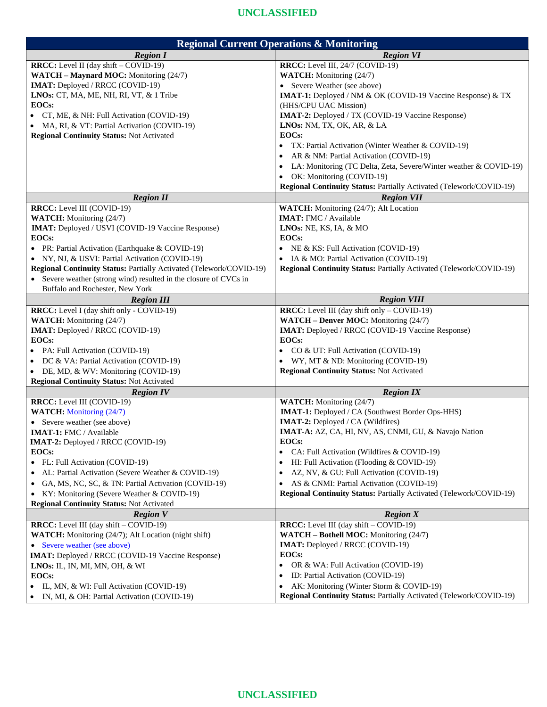| <b>Regional Current Operations &amp; Monitoring</b>                 |                                                                     |  |  |  |  |
|---------------------------------------------------------------------|---------------------------------------------------------------------|--|--|--|--|
| <b>Region I</b>                                                     | <b>Region VI</b>                                                    |  |  |  |  |
| <b>RRCC:</b> Level II (day shift - COVID-19)                        | RRCC: Level III, 24/7 (COVID-19)                                    |  |  |  |  |
| WATCH - Maynard MOC: Monitoring (24/7)                              | WATCH: Monitoring (24/7)                                            |  |  |  |  |
| IMAT: Deployed / RRCC (COVID-19)                                    | • Severe Weather (see above)                                        |  |  |  |  |
| LNOs: CT, MA, ME, NH, RI, VT, & 1 Tribe                             | <b>IMAT-1:</b> Deployed / NM & OK (COVID-19 Vaccine Response) & TX  |  |  |  |  |
| EOCs:                                                               | (HHS/CPU UAC Mission)                                               |  |  |  |  |
| CT, ME, & NH: Full Activation (COVID-19)                            | IMAT-2: Deployed / TX (COVID-19 Vaccine Response)                   |  |  |  |  |
| MA, RI, & VT: Partial Activation (COVID-19)                         | LNOs: NM, TX, OK, AR, & LA                                          |  |  |  |  |
| <b>Regional Continuity Status: Not Activated</b>                    | EOCs:                                                               |  |  |  |  |
|                                                                     | TX: Partial Activation (Winter Weather & COVID-19)                  |  |  |  |  |
|                                                                     | AR & NM: Partial Activation (COVID-19)                              |  |  |  |  |
|                                                                     | LA: Monitoring (TC Delta, Zeta, Severe/Winter weather & COVID-19)   |  |  |  |  |
|                                                                     | OK: Monitoring (COVID-19)                                           |  |  |  |  |
|                                                                     | Regional Continuity Status: Partially Activated (Telework/COVID-19) |  |  |  |  |
| <b>Region II</b>                                                    | <b>Region VII</b>                                                   |  |  |  |  |
| <b>RRCC:</b> Level III (COVID-19)                                   | WATCH: Monitoring (24/7); Alt Location                              |  |  |  |  |
| WATCH: Monitoring (24/7)                                            | <b>IMAT: FMC / Available</b>                                        |  |  |  |  |
| <b>IMAT:</b> Deployed / USVI (COVID-19 Vaccine Response)            | LNOs: NE, KS, IA, & MO                                              |  |  |  |  |
| EOCs:                                                               | EOCs:                                                               |  |  |  |  |
| • PR: Partial Activation (Earthquake & COVID-19)                    | NE & KS: Full Activation (COVID-19)                                 |  |  |  |  |
| • NY, NJ, & USVI: Partial Activation (COVID-19)                     | IA & MO: Partial Activation (COVID-19)                              |  |  |  |  |
| Regional Continuity Status: Partially Activated (Telework/COVID-19) | Regional Continuity Status: Partially Activated (Telework/COVID-19) |  |  |  |  |
| Severe weather (strong wind) resulted in the closure of CVCs in     |                                                                     |  |  |  |  |
| Buffalo and Rochester, New York                                     |                                                                     |  |  |  |  |
| <b>Region III</b>                                                   | <b>Region VIII</b>                                                  |  |  |  |  |
| <b>RRCC:</b> Level I (day shift only - COVID-19)                    | <b>RRCC:</b> Level III (day shift only - COVID-19)                  |  |  |  |  |
| WATCH: Monitoring (24/7)                                            | <b>WATCH - Denver MOC:</b> Monitoring (24/7)                        |  |  |  |  |
| IMAT: Deployed / RRCC (COVID-19)                                    | <b>IMAT:</b> Deployed / RRCC (COVID-19 Vaccine Response)            |  |  |  |  |
| <b>EOCs:</b>                                                        | <b>EOCs:</b>                                                        |  |  |  |  |
| PA: Full Activation (COVID-19)                                      | CO & UT: Full Activation (COVID-19)                                 |  |  |  |  |
| DC & VA: Partial Activation (COVID-19)                              | WY, MT & ND: Monitoring (COVID-19)<br>$\bullet$                     |  |  |  |  |
| DE, MD, & WV: Monitoring (COVID-19)<br>$\bullet$                    | <b>Regional Continuity Status: Not Activated</b>                    |  |  |  |  |
| <b>Regional Continuity Status: Not Activated</b>                    |                                                                     |  |  |  |  |
| <b>Region IV</b>                                                    | <b>Region IX</b>                                                    |  |  |  |  |
| RRCC: Level III (COVID-19)                                          | <b>WATCH:</b> Monitoring (24/7)                                     |  |  |  |  |
| <b>WATCH:</b> Monitoring (24/7)                                     | <b>IMAT-1:</b> Deployed / CA (Southwest Border Ops-HHS)             |  |  |  |  |
| Severe weather (see above)                                          | <b>IMAT-2:</b> Deployed / CA (Wildfires)                            |  |  |  |  |
| <b>IMAT-1:</b> FMC / Available                                      | <b>IMAT-A:</b> AZ, CA, HI, NV, AS, CNMI, GU, & Navajo Nation        |  |  |  |  |
| <b>IMAT-2:</b> Deployed / RRCC (COVID-19)                           | EOCs:                                                               |  |  |  |  |
| EOCs:                                                               | CA: Full Activation (Wildfires & COVID-19)<br>$\bullet$             |  |  |  |  |
| FL: Full Activation (COVID-19)<br>٠                                 | HI: Full Activation (Flooding & COVID-19)<br>$\bullet$              |  |  |  |  |
| AL: Partial Activation (Severe Weather & COVID-19)<br>$\bullet$     | AZ, NV, & GU: Full Activation (COVID-19)<br>$\bullet$               |  |  |  |  |
| GA, MS, NC, SC, & TN: Partial Activation (COVID-19)<br>$\bullet$    | AS & CNMI: Partial Activation (COVID-19)<br>$\bullet$               |  |  |  |  |
| KY: Monitoring (Severe Weather & COVID-19)<br>٠                     | Regional Continuity Status: Partially Activated (Telework/COVID-19) |  |  |  |  |
| <b>Regional Continuity Status: Not Activated</b>                    |                                                                     |  |  |  |  |
| <b>Region V</b>                                                     | Region X                                                            |  |  |  |  |
| <b>RRCC:</b> Level III (day shift – COVID-19)                       | <b>RRCC:</b> Level III (day shift – COVID-19)                       |  |  |  |  |
| WATCH: Monitoring (24/7); Alt Location (night shift)                | <b>WATCH – Bothell MOC:</b> Monitoring (24/7)                       |  |  |  |  |
| Severe weather (see above)                                          | <b>IMAT:</b> Deployed / RRCC (COVID-19)<br>EOCs:                    |  |  |  |  |
| <b>IMAT:</b> Deployed / RRCC (COVID-19 Vaccine Response)            |                                                                     |  |  |  |  |
| <b>LNOs:</b> IL, IN, MI, MN, OH, $\&$ WI                            | OR & WA: Full Activation (COVID-19)<br>$\bullet$                    |  |  |  |  |
| <b>EOCs:</b>                                                        | ID: Partial Activation (COVID-19)<br>٠                              |  |  |  |  |
| IL, MN, & WI: Full Activation (COVID-19)                            | AK: Monitoring (Winter Storm & COVID-19)<br>$\bullet$               |  |  |  |  |
| IN, MI, & OH: Partial Activation (COVID-19)<br>$\bullet$            | Regional Continuity Status: Partially Activated (Telework/COVID-19) |  |  |  |  |

**Regional Continuity Status:** Not Activated